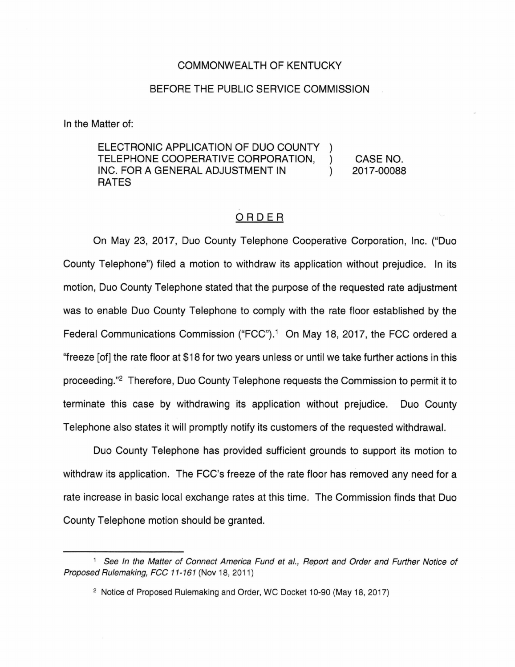## COMMONWEALTH OF KENTUCKY

## BEFORE THE PUBLIC SERVICE COMMISSION

In the Matter of:

ELECTRONIC APPLICATION OF DUO COUNTY TELEPHONE COOPERATIVE CORPORATION, ) INC. FOR A GENERAL ADJUSTMENT IN  $( )$ RATES CASE NO. 2017-00088

## ORDER

On May 23, 2017, Duo County Telephone Cooperative Corporation, Inc. ("Duo County Telephone") filed a motion to withdraw its application without prejudice. In its motion, Duo County Telephone stated that the purpose of the requested rate adjustment was to enable Duo County Telephone to comply with the rate floor established by the Federal Communications Commission ("FCC").<sup>1</sup> On May 18, 2017, the FCC ordered a ''freeze [of] the rate floor at \$18 for two years unless or until we take further actions in this proceeding."2 Therefore, Duo County Telephone requests the Commission to permit it to terminate this case by withdrawing its application without prejudice. Duo County Telephone also states it will promptly notify its customers of the requested withdrawal.

Duo County Telephone has provided sufficient grounds to support its motion to withdraw its application. The FCC's freeze of the rate floor has removed any need for a rate increase in basic local exchange rates at this time. The Commission finds that Duo County Telephone motion should be granted.

<sup>&</sup>lt;sup>1</sup> See In the Matter of Connect America Fund et al., Report and Order and Further Notice of Proposed Rulemaking, FCC 11-161 (Nov 18, 2011)

<sup>&</sup>lt;sup>2</sup> Notice of Proposed Rulemaking and Order, WC Docket 10-90 (May 18, 2017)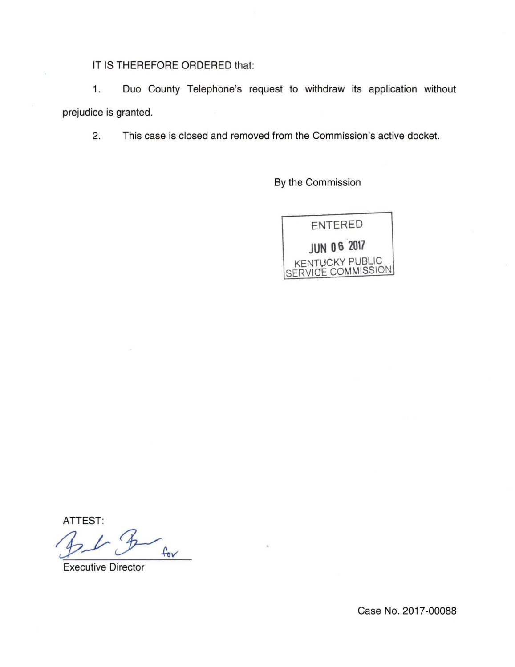IT IS THEREFORE ORDERED that:

1. Duo County Telephone's request to withdraw its application without prejudice is granted.

2. This case is closed and removed from the Commission's active docket.

By the Commission



ATTEST:

 $f_{ov}$ 

Executive Director

Case No. 2017-00088